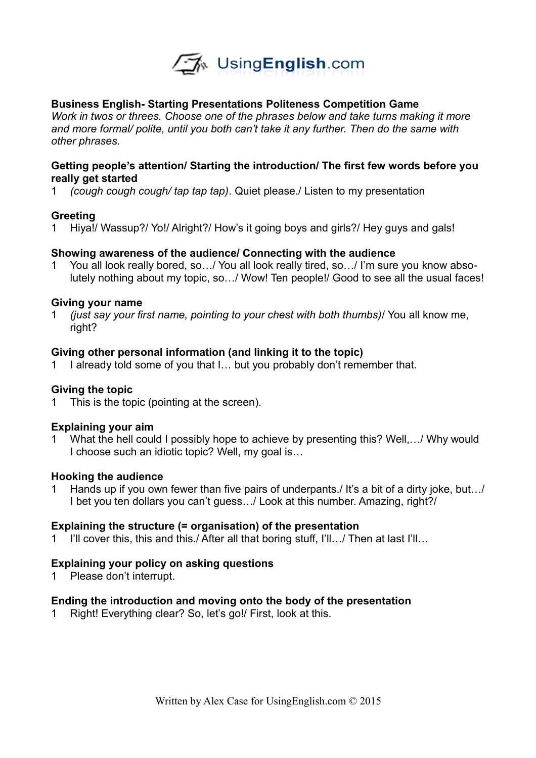

## **Business English- Starting Presentations Politeness Competition Game**

*Work in twos or threes. Choose one of the phrases below and take turns making it more and more formal/ polite, until you both can't take it any further. Then do the same with other phrases.* 

## **Getting people's attention/ Starting the introduction/ The first few words before you really get started**

1 *(cough cough cough/ tap tap tap)*. Quiet please./ Listen to my presentation

## **Greeting**

1 Hiya!/ Wassup?/ Yo!/ Alright?/ How's it going boys and girls?/ Hey guys and gals!

### **Showing awareness of the audience/ Connecting with the audience**

1 You all look really bored, so…/ You all look really tired, so…/ I'm sure you know absolutely nothing about my topic, so…/ Wow! Ten people!/ Good to see all the usual faces!

### **Giving your name**

1 *(just say your first name, pointing to your chest with both thumbs)*/ You all know me, right?

### **Giving other personal information (and linking it to the topic)**

1 I already told some of you that I… but you probably don't remember that.

#### **Giving the topic**

1 This is the topic (pointing at the screen).

#### **Explaining your aim**

1 What the hell could I possibly hope to achieve by presenting this? Well,…/ Why would I choose such an idiotic topic? Well, my goal is…

#### **Hooking the audience**

1 Hands up if you own fewer than five pairs of underpants./ It's a bit of a dirty joke, but…/ I bet you ten dollars you can't guess…/ Look at this number. Amazing, right?/

#### **Explaining the structure (= organisation) of the presentation**

1 I'll cover this, this and this./ After all that boring stuff, I'll…/ Then at last I'll…

#### **Explaining your policy on asking questions**

1 Please don't interrupt.

#### **Ending the introduction and moving onto the body of the presentation**

1 Right! Everything clear? So, let's go!/ First, look at this.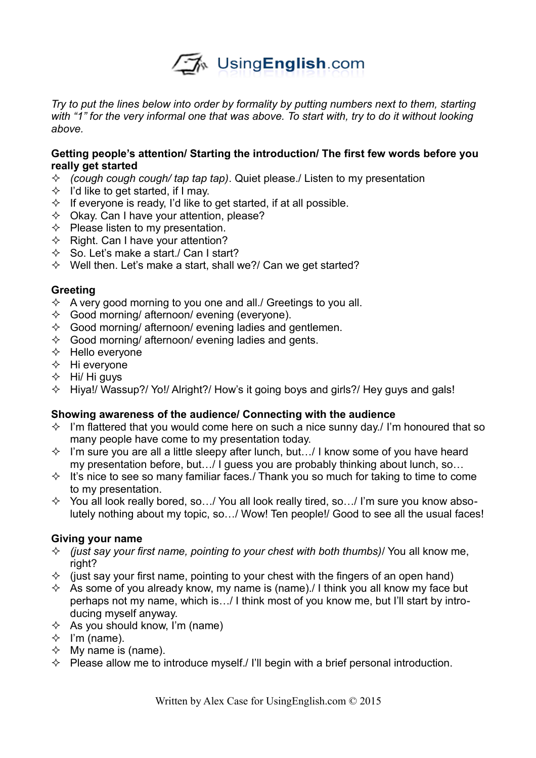

*Try to put the lines below into order by formality by putting numbers next to them, starting*  with "1" for the very informal one that was above. To start with, try to do it without looking *above.* 

## **Getting people's attention/ Starting the introduction/ The first few words before you really get started**

- *(cough cough cough/ tap tap tap)*. Quiet please./ Listen to my presentation
- $\Diamond$  I'd like to get started, if I may.
- $\Diamond$  If everyone is ready, I'd like to get started, if at all possible.
- $\Diamond$  Okay. Can I have your attention, please?
- $\Diamond$  Please listen to my presentation.
- $\Diamond$  Right. Can I have your attention?
- $\diamond$  So. Let's make a start./ Can I start?
- $\Diamond$  Well then. Let's make a start, shall we?/ Can we get started?

### **Greeting**

- $\Diamond$  A very good morning to you one and all. Greetings to you all.
- $\Diamond$  Good morning/ afternoon/ evening (everyone).
- $\Diamond$  Good morning/ afternoon/ evening ladies and gentlemen.
- $\Diamond$  Good morning/ afternoon/ evening ladies and gents.
- $\Leftrightarrow$  Hello everyone
- $\Diamond$  Hi everyone
- $\div$  Hi/ Hi guys
- $\div$  Hiva!/ Wassup?/ Yo!/ Alright?/ How's it going boys and girls?/ Hey guys and gals!

## **Showing awareness of the audience/ Connecting with the audience**

- $\Diamond$  I'm flattered that you would come here on such a nice sunny day. I'm honoured that so many people have come to my presentation today.
- $\Diamond$  I'm sure you are all a little sleepy after lunch, but.../ I know some of you have heard my presentation before, but…/ I guess you are probably thinking about lunch, so…
- $\Diamond$  It's nice to see so many familiar faces./ Thank you so much for taking to time to come to my presentation.
- $\Diamond$  You all look really bored, so.../ You all look really tired, so.../ I'm sure you know absolutely nothing about my topic, so…/ Wow! Ten people!/ Good to see all the usual faces!

#### **Giving your name**

- $\Diamond$  (just say your first name, pointing to your chest with both thumbs)/ You all know me, right?
- $\Diamond$  (just say your first name, pointing to your chest with the fingers of an open hand)
- $\Diamond$  As some of you already know, my name is (name). I think you all know my face but perhaps not my name, which is…/ I think most of you know me, but I'll start by introducing myself anyway.
- $\Diamond$  As you should know, I'm (name)
- $\div$  I'm (name).
- $\Diamond$  My name is (name).
- $\Diamond$  Please allow me to introduce myself./ I'll begin with a brief personal introduction.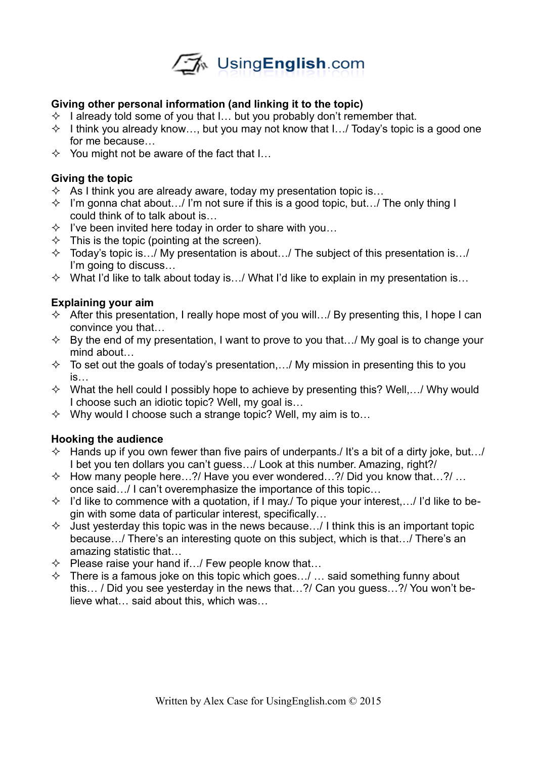

# **Giving other personal information (and linking it to the topic)**

- $\Diamond$  I already told some of you that I... but you probably don't remember that.
- $\Diamond$  I think you already know..., but you may not know that I... Today's topic is a good one for me because…
- $\Diamond$  You might not be aware of the fact that I...

# **Giving the topic**

- $\Diamond$  As I think you are already aware, today my presentation topic is...
- $\Diamond$  I'm gonna chat about.../ I'm not sure if this is a good topic, but.../ The only thing I could think of to talk about is…
- $\Diamond$  I've been invited here today in order to share with you...
- $\Diamond$  This is the topic (pointing at the screen).
- $\Diamond$  Today's topic is.  $\therefore$  My presentation is about.  $\therefore$  The subject of this presentation is.  $\therefore$ I'm going to discuss…
- $\Diamond$  What I'd like to talk about today is.../ What I'd like to explain in my presentation is...

## **Explaining your aim**

- $\Diamond$  After this presentation, I really hope most of you will.../ By presenting this, I hope I can convince you that…
- $\Diamond$  By the end of my presentation, I want to prove to you that.../ My goal is to change your mind about…
- $\Diamond$  To set out the goals of today's presentation,.../ My mission in presenting this to you is…
- $\Diamond$  What the hell could I possibly hope to achieve by presenting this? Well,.../ Why would I choose such an idiotic topic? Well, my goal is…
- $\Diamond$  Why would I choose such a strange topic? Well, my aim is to...

## **Hooking the audience**

- $\Diamond$  Hands up if you own fewer than five pairs of underpants./ It's a bit of a dirty joke, but.../ I bet you ten dollars you can't guess…/ Look at this number. Amazing, right?/
- $\Diamond$  How many people here...?/ Have you ever wondered...?/ Did you know that...?/ ... once said…/ I can't overemphasize the importance of this topic…
- $\Diamond$  I'd like to commence with a quotation, if I may. To pique your interest,... I'd like to begin with some data of particular interest, specifically…
- $\Diamond$  Just yesterday this topic was in the news because... I I think this is an important topic because…/ There's an interesting quote on this subject, which is that…/ There's an amazing statistic that…
- $\Diamond$  Please raise your hand if.../ Few people know that...
- $\Diamond$  There is a famous joke on this topic which goes.../ ... said something funny about this… / Did you see yesterday in the news that…?/ Can you guess…?/ You won't believe what… said about this, which was…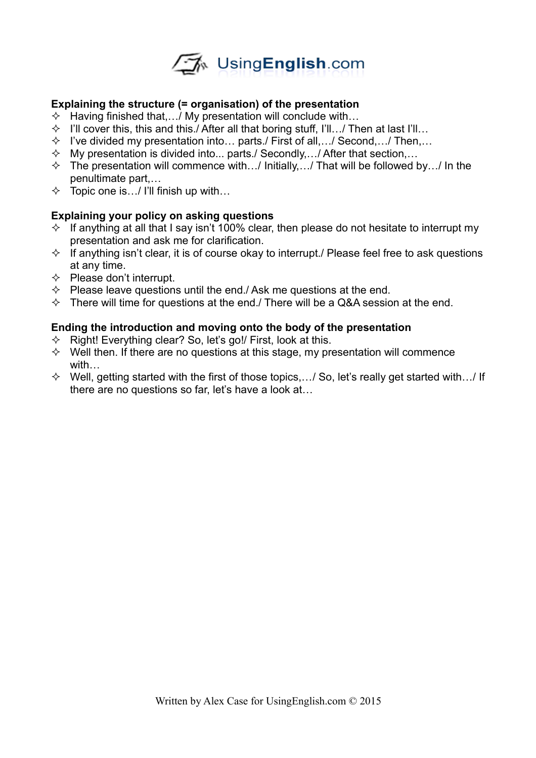

## **Explaining the structure (= organisation) of the presentation**

- $\Diamond$  Having finished that,  $\therefore$  My presentation will conclude with...
- $\Diamond$  I'll cover this, this and this./ After all that boring stuff, I'll.../ Then at last I'll...
- $\Diamond$  I've divided my presentation into... parts./ First of all,.../ Second,.../ Then,...
- $\Diamond$  My presentation is divided into... parts./ Secondly,.../ After that section,...
- $\lozenge$  The presentation will commence with.../ Initially,.../ That will be followed by.../ In the penultimate part,…
- $\Diamond$  Topic one is.../ I'll finish up with...

## **Explaining your policy on asking questions**

- $\Diamond$  If anything at all that I say isn't 100% clear, then please do not hesitate to interrupt my presentation and ask me for clarification.
- $\Diamond$  If anything isn't clear, it is of course okay to interrupt./ Please feel free to ask questions at any time.
- $\Diamond$  Please don't interrupt.
- $\Diamond$  Please leave questions until the end./ Ask me questions at the end.
- $\Diamond$  There will time for questions at the end./ There will be a Q&A session at the end.

## **Ending the introduction and moving onto the body of the presentation**

- $\Diamond$  Right! Everything clear? So, let's go!/ First, look at this.
- $\Diamond$  Well then. If there are no questions at this stage, my presentation will commence with…
- $\Diamond$  Well, getting started with the first of those topics,.../ So, let's really get started with.../ If there are no questions so far, let's have a look at…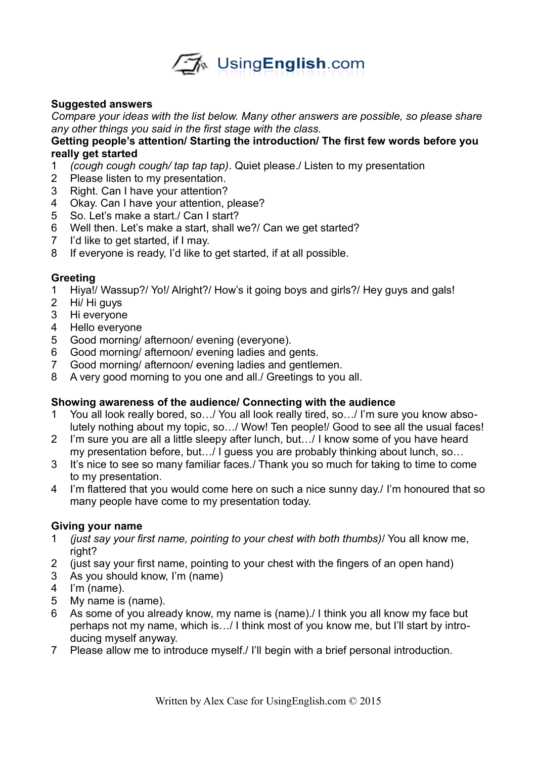

## **Suggested answers**

*Compare your ideas with the list below. Many other answers are possible, so please share any other things you said in the first stage with the class.* 

## **Getting people's attention/ Starting the introduction/ The first few words before you really get started**

- *(cough cough cough/ tap tap tap)*. Quiet please./ Listen to my presentation
- Please listen to my presentation.
- Right. Can I have your attention?
- Okay. Can I have your attention, please?
- So. Let's make a start./ Can I start?
- Well then. Let's make a start, shall we?/ Can we get started?
- I'd like to get started, if I may.
- If everyone is ready, I'd like to get started, if at all possible.

## **Greeting**

- Hiya!/ Wassup?/ Yo!/ Alright?/ How's it going boys and girls?/ Hey guys and gals!
- Hi/ Hi guys
- Hi everyone
- Hello everyone
- Good morning/ afternoon/ evening (everyone).
- Good morning/ afternoon/ evening ladies and gents.
- Good morning/ afternoon/ evening ladies and gentlemen.
- A very good morning to you one and all./ Greetings to you all.

#### **Showing awareness of the audience/ Connecting with the audience**

- You all look really bored, so…/ You all look really tired, so…/ I'm sure you know absolutely nothing about my topic, so…/ Wow! Ten people!/ Good to see all the usual faces!
- I'm sure you are all a little sleepy after lunch, but…/ I know some of you have heard my presentation before, but…/ I guess you are probably thinking about lunch, so…
- It's nice to see so many familiar faces./ Thank you so much for taking to time to come to my presentation.
- I'm flattered that you would come here on such a nice sunny day./ I'm honoured that so many people have come to my presentation today.

#### **Giving your name**

- *(just say your first name, pointing to your chest with both thumbs)*/ You all know me, right?
- (just say your first name, pointing to your chest with the fingers of an open hand)
- As you should know, I'm (name)
- I'm (name).
- My name is (name).
- As some of you already know, my name is (name)./ I think you all know my face but perhaps not my name, which is…/ I think most of you know me, but I'll start by introducing myself anyway.
- Please allow me to introduce myself./ I'll begin with a brief personal introduction.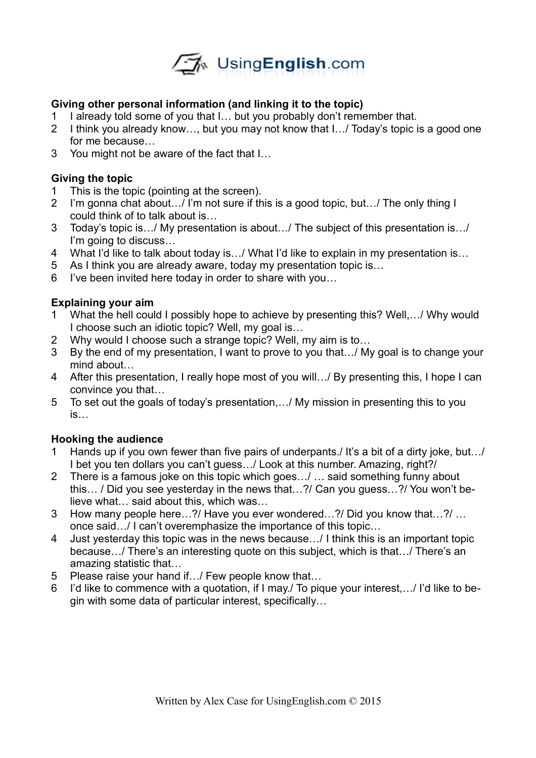

# **Giving other personal information (and linking it to the topic)**

- 1 I already told some of you that I… but you probably don't remember that.
- 2 I think you already know…, but you may not know that I…/ Today's topic is a good one for me because…
- 3 You might not be aware of the fact that I…

# **Giving the topic**

- 1 This is the topic (pointing at the screen).
- 2 I'm gonna chat about…/ I'm not sure if this is a good topic, but…/ The only thing I could think of to talk about is…
- 3 Today's topic is…/ My presentation is about…/ The subject of this presentation is…/ I'm going to discuss…
- 4 What I'd like to talk about today is…/ What I'd like to explain in my presentation is…
- 5 As I think you are already aware, today my presentation topic is…
- 6 I've been invited here today in order to share with you…

## **Explaining your aim**

- 1 What the hell could I possibly hope to achieve by presenting this? Well,…/ Why would I choose such an idiotic topic? Well, my goal is…
- 2 Why would I choose such a strange topic? Well, my aim is to…
- 3 By the end of my presentation, I want to prove to you that…/ My goal is to change your mind about…
- 4 After this presentation, I really hope most of you will…/ By presenting this, I hope I can convince you that…
- 5 To set out the goals of today's presentation,…/ My mission in presenting this to you is…

## **Hooking the audience**

- 1 Hands up if you own fewer than five pairs of underpants./ It's a bit of a dirty joke, but…/ I bet you ten dollars you can't guess…/ Look at this number. Amazing, right?/
- 2 There is a famous joke on this topic which goes…/ … said something funny about this… / Did you see yesterday in the news that…?/ Can you guess…?/ You won't believe what… said about this, which was…
- 3 How many people here…?/ Have you ever wondered…?/ Did you know that…?/ … once said…/ I can't overemphasize the importance of this topic…
- 4 Just yesterday this topic was in the news because…/ I think this is an important topic because…/ There's an interesting quote on this subject, which is that…/ There's an amazing statistic that…
- 5 Please raise your hand if.../ Few people know that...
- 6 I'd like to commence with a quotation, if I may./ To pique your interest,…/ I'd like to begin with some data of particular interest, specifically…